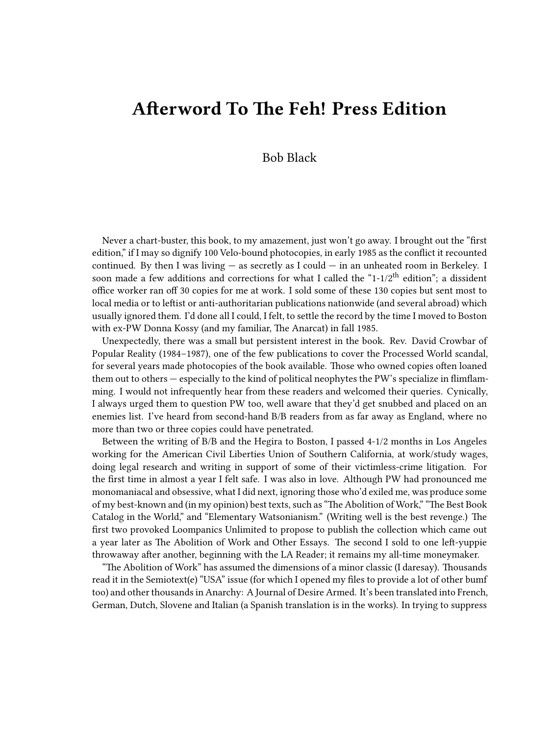## **Afterword To The Feh! Press Edition**

## Bob Black

Never a chart-buster, this book, to my amazement, just won't go away. I brought out the "first edition," if I may so dignify 100 Velo-bound photocopies, in early 1985 as the conflict it recounted continued. By then I was living  $-$  as secretly as I could  $-$  in an unheated room in Berkeley. I soon made a few additions and corrections for what I called the "1-1/2<sup>th</sup> edition"; a dissident office worker ran off 30 copies for me at work. I sold some of these 130 copies but sent most to local media or to leftist or anti-authoritarian publications nationwide (and several abroad) which usually ignored them. I'd done all I could, I felt, to settle the record by the time I moved to Boston with ex-PW Donna Kossy (and my familiar, The Anarcat) in fall 1985.

Unexpectedly, there was a small but persistent interest in the book. Rev. David Crowbar of Popular Reality (1984–1987), one of the few publications to cover the Processed World scandal, for several years made photocopies of the book available. Those who owned copies often loaned them out to others — especially to the kind of political neophytes the PW's specialize in flimflamming. I would not infrequently hear from these readers and welcomed their queries. Cynically, I always urged them to question PW too, well aware that they'd get snubbed and placed on an enemies list. I've heard from second-hand B/B readers from as far away as England, where no more than two or three copies could have penetrated.

Between the writing of B/B and the Hegira to Boston, I passed 4-1/2 months in Los Angeles working for the American Civil Liberties Union of Southern California, at work/study wages, doing legal research and writing in support of some of their victimless-crime litigation. For the first time in almost a year I felt safe. I was also in love. Although PW had pronounced me monomaniacal and obsessive, what I did next, ignoring those who'd exiled me, was produce some of my best-known and (in my opinion) best texts, such as "The Abolition of Work," "The Best Book Catalog in the World," and "Elementary Watsonianism." (Writing well is the best revenge.) The first two provoked Loompanics Unlimited to propose to publish the collection which came out a year later as The Abolition of Work and Other Essays. The second I sold to one left-yuppie throwaway after another, beginning with the LA Reader; it remains my all-time moneymaker.

"The Abolition of Work" has assumed the dimensions of a minor classic (I daresay). Thousands read it in the Semiotext(e) "USA" issue (for which I opened my files to provide a lot of other bumf too) and other thousands in Anarchy: A Journal of Desire Armed. It's been translated into French, German, Dutch, Slovene and Italian (a Spanish translation is in the works). In trying to suppress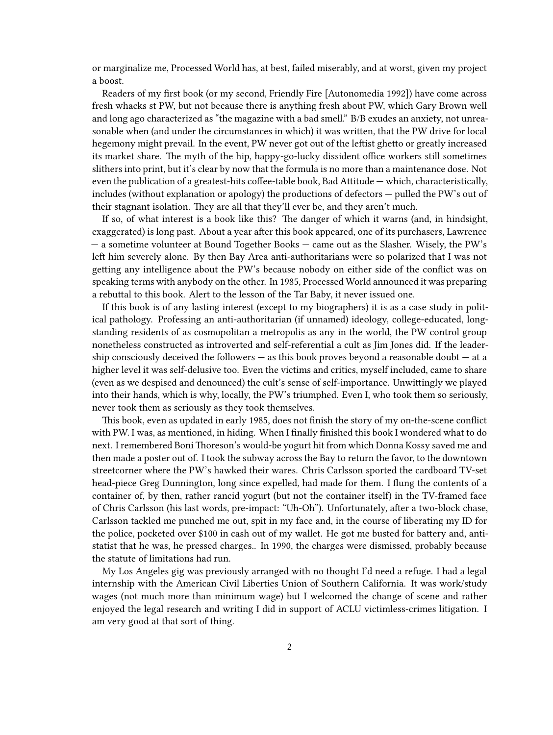or marginalize me, Processed World has, at best, failed miserably, and at worst, given my project a boost.

Readers of my first book (or my second, Friendly Fire [Autonomedia 1992]) have come across fresh whacks st PW, but not because there is anything fresh about PW, which Gary Brown well and long ago characterized as "the magazine with a bad smell." B/B exudes an anxiety, not unreasonable when (and under the circumstances in which) it was written, that the PW drive for local hegemony might prevail. In the event, PW never got out of the leftist ghetto or greatly increased its market share. The myth of the hip, happy-go-lucky dissident office workers still sometimes slithers into print, but it's clear by now that the formula is no more than a maintenance dose. Not even the publication of a greatest-hits coffee-table book, Bad Attitude — which, characteristically, includes (without explanation or apology) the productions of defectors — pulled the PW's out of their stagnant isolation. They are all that they'll ever be, and they aren't much.

If so, of what interest is a book like this? The danger of which it warns (and, in hindsight, exaggerated) is long past. About a year after this book appeared, one of its purchasers, Lawrence — a sometime volunteer at Bound Together Books — came out as the Slasher. Wisely, the PW's left him severely alone. By then Bay Area anti-authoritarians were so polarized that I was not getting any intelligence about the PW's because nobody on either side of the conflict was on speaking terms with anybody on the other. In 1985, Processed World announced it was preparing a rebuttal to this book. Alert to the lesson of the Tar Baby, it never issued one.

If this book is of any lasting interest (except to my biographers) it is as a case study in political pathology. Professing an anti-authoritarian (if unnamed) ideology, college-educated, longstanding residents of as cosmopolitan a metropolis as any in the world, the PW control group nonetheless constructed as introverted and self-referential a cult as Jim Jones did. If the leadership consciously deceived the followers — as this book proves beyond a reasonable doubt — at a higher level it was self-delusive too. Even the victims and critics, myself included, came to share (even as we despised and denounced) the cult's sense of self-importance. Unwittingly we played into their hands, which is why, locally, the PW's triumphed. Even I, who took them so seriously, never took them as seriously as they took themselves.

This book, even as updated in early 1985, does not finish the story of my on-the-scene conflict with PW. I was, as mentioned, in hiding. When I finally finished this book I wondered what to do next. I remembered Boni Thoreson's would-be yogurt hit from which Donna Kossy saved me and then made a poster out of. I took the subway across the Bay to return the favor, to the downtown streetcorner where the PW's hawked their wares. Chris Carlsson sported the cardboard TV-set head-piece Greg Dunnington, long since expelled, had made for them. I flung the contents of a container of, by then, rather rancid yogurt (but not the container itself) in the TV-framed face of Chris Carlsson (his last words, pre-impact: "Uh-Oh"). Unfortunately, after a two-block chase, Carlsson tackled me punched me out, spit in my face and, in the course of liberating my ID for the police, pocketed over \$100 in cash out of my wallet. He got me busted for battery and, antistatist that he was, he pressed charges.. In 1990, the charges were dismissed, probably because the statute of limitations had run.

My Los Angeles gig was previously arranged with no thought I'd need a refuge. I had a legal internship with the American Civil Liberties Union of Southern California. It was work/study wages (not much more than minimum wage) but I welcomed the change of scene and rather enjoyed the legal research and writing I did in support of ACLU victimless-crimes litigation. I am very good at that sort of thing.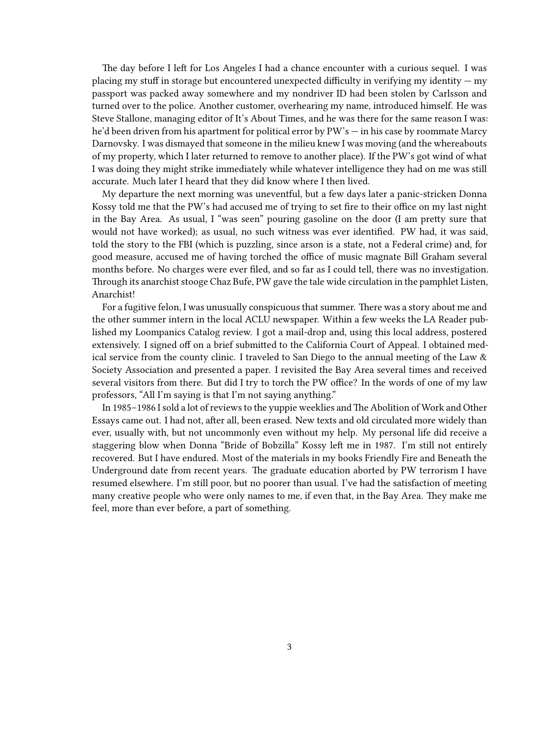The day before I left for Los Angeles I had a chance encounter with a curious sequel. I was placing my stuff in storage but encountered unexpected difficulty in verifying my identity — my passport was packed away somewhere and my nondriver ID had been stolen by Carlsson and turned over to the police. Another customer, overhearing my name, introduced himself. He was Steve Stallone, managing editor of It's About Times, and he was there for the same reason I was: he'd been driven from his apartment for political error by PW's — in his case by roommate Marcy Darnovsky. I was dismayed that someone in the milieu knew I was moving (and the whereabouts of my property, which I later returned to remove to another place). If the PW's got wind of what I was doing they might strike immediately while whatever intelligence they had on me was still accurate. Much later I heard that they did know where I then lived.

My departure the next morning was uneventful, but a few days later a panic-stricken Donna Kossy told me that the PW's had accused me of trying to set fire to their office on my last night in the Bay Area. As usual, I "was seen" pouring gasoline on the door (I am pretty sure that would not have worked); as usual, no such witness was ever identified. PW had, it was said, told the story to the FBI (which is puzzling, since arson is a state, not a Federal crime) and, for good measure, accused me of having torched the office of music magnate Bill Graham several months before. No charges were ever filed, and so far as I could tell, there was no investigation. Through its anarchist stooge Chaz Bufe, PW gave the tale wide circulation in the pamphlet Listen, Anarchist!

For a fugitive felon, I was unusually conspicuous that summer. There was a story about me and the other summer intern in the local ACLU newspaper. Within a few weeks the LA Reader published my Loompanics Catalog review. I got a mail-drop and, using this local address, postered extensively. I signed off on a brief submitted to the California Court of Appeal. I obtained medical service from the county clinic. I traveled to San Diego to the annual meeting of the Law & Society Association and presented a paper. I revisited the Bay Area several times and received several visitors from there. But did I try to torch the PW office? In the words of one of my law professors, "All I'm saying is that I'm not saying anything."

In 1985–1986 I sold a lot of reviews to the yuppie weeklies and The Abolition of Work and Other Essays came out. I had not, after all, been erased. New texts and old circulated more widely than ever, usually with, but not uncommonly even without my help. My personal life did receive a staggering blow when Donna "Bride of Bobzilla" Kossy left me in 1987. I'm still not entirely recovered. But I have endured. Most of the materials in my books Friendly Fire and Beneath the Underground date from recent years. The graduate education aborted by PW terrorism I have resumed elsewhere. I'm still poor, but no poorer than usual. I've had the satisfaction of meeting many creative people who were only names to me, if even that, in the Bay Area. They make me feel, more than ever before, a part of something.